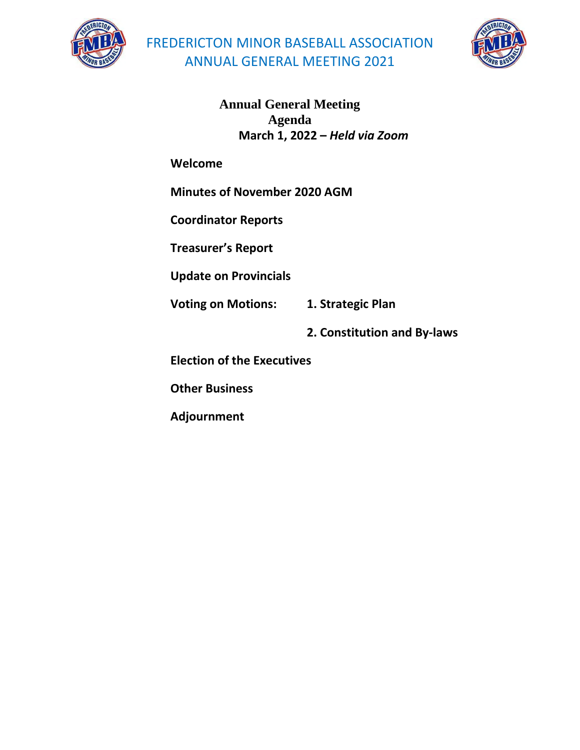



**Annual General Meeting Agenda March 1, 2022 –** *Held via Zoom*

**Welcome**

**Minutes of November 2020 AGM**

**Coordinator Reports** 

**Treasurer's Report** 

**Update on Provincials** 

**Voting on Motions: 1. Strategic Plan** 

**2. Constitution and By-laws** 

**Election of the Executives** 

**Other Business** 

**Adjournment**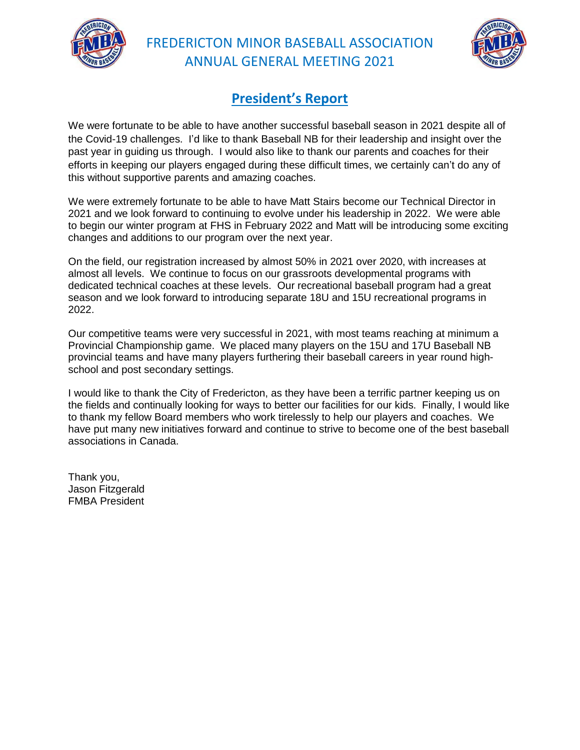



### **President's Report**

We were fortunate to be able to have another successful baseball season in 2021 despite all of the Covid-19 challenges. I'd like to thank Baseball NB for their leadership and insight over the past year in guiding us through. I would also like to thank our parents and coaches for their efforts in keeping our players engaged during these difficult times, we certainly can't do any of this without supportive parents and amazing coaches.

We were extremely fortunate to be able to have Matt Stairs become our Technical Director in 2021 and we look forward to continuing to evolve under his leadership in 2022. We were able to begin our winter program at FHS in February 2022 and Matt will be introducing some exciting changes and additions to our program over the next year.

On the field, our registration increased by almost 50% in 2021 over 2020, with increases at almost all levels. We continue to focus on our grassroots developmental programs with dedicated technical coaches at these levels. Our recreational baseball program had a great season and we look forward to introducing separate 18U and 15U recreational programs in 2022.

Our competitive teams were very successful in 2021, with most teams reaching at minimum a Provincial Championship game. We placed many players on the 15U and 17U Baseball NB provincial teams and have many players furthering their baseball careers in year round highschool and post secondary settings.

I would like to thank the City of Fredericton, as they have been a terrific partner keeping us on the fields and continually looking for ways to better our facilities for our kids. Finally, I would like to thank my fellow Board members who work tirelessly to help our players and coaches. We have put many new initiatives forward and continue to strive to become one of the best baseball associations in Canada.

Thank you, Jason Fitzgerald FMBA President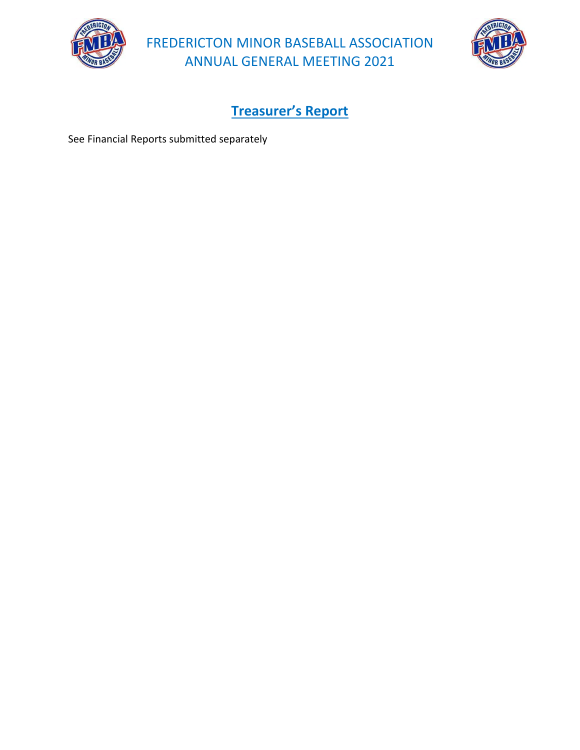



**Treasurer's Report**

See Financial Reports submitted separately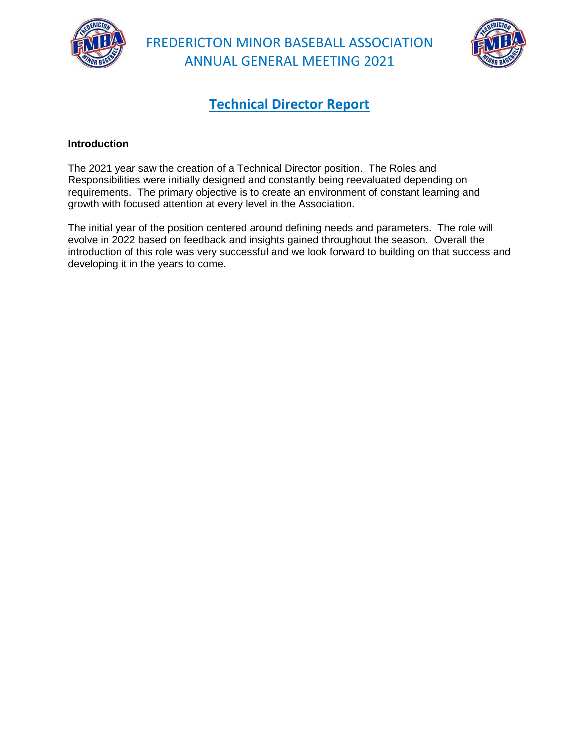



### **Technical Director Report**

### **Introduction**

The 2021 year saw the creation of a Technical Director position. The Roles and Responsibilities were initially designed and constantly being reevaluated depending on requirements. The primary objective is to create an environment of constant learning and growth with focused attention at every level in the Association.

The initial year of the position centered around defining needs and parameters. The role will evolve in 2022 based on feedback and insights gained throughout the season. Overall the introduction of this role was very successful and we look forward to building on that success and developing it in the years to come.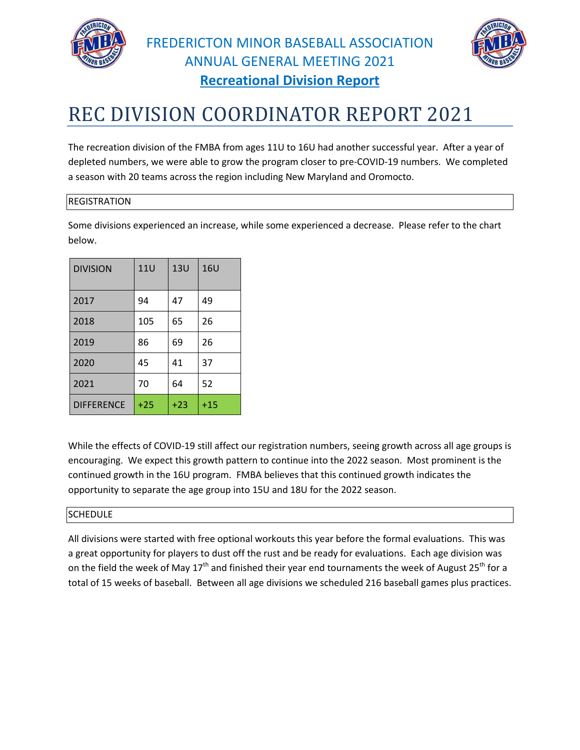



# REC DIVISION COORDINATOR REPORT 2021

The recreation division of the FMBA from ages 11U to 16U had another successful year. After a year of depleted numbers, we were able to grow the program closer to pre-COVID-19 numbers. We completed a season with 20 teams across the region including New Maryland and Oromocto.

#### REGISTRATION

Some divisions experienced an increase, while some experienced a decrease. Please refer to the chart below.

| <b>DIVISION</b>   | <b>11U</b> | <b>13U</b> | 16U   |
|-------------------|------------|------------|-------|
| 2017              | 94         | 47         | 49    |
| 2018              | 105        | 65         | 26    |
| 2019              | 86         | 69         | 26    |
| 2020              | 45         | 41         | 37    |
| 2021              | 70         | 64         | 52    |
| <b>DIFFERENCE</b> | $+25$      | $+23$      | $+15$ |

While the effects of COVID-19 still affect our registration numbers, seeing growth across all age groups is encouraging. We expect this growth pattern to continue into the 2022 season. Most prominent is the continued growth in the 16U program. FMBA believes that this continued growth indicates the opportunity to separate the age group into 15U and 18U for the 2022 season.

### SCHEDULE

All divisions were started with free optional workouts this year before the formal evaluations. This was a great opportunity for players to dust off the rust and be ready for evaluations. Each age division was on the field the week of May  $17<sup>th</sup>$  and finished their year end tournaments the week of August 25<sup>th</sup> for a total of 15 weeks of baseball. Between all age divisions we scheduled 216 baseball games plus practices.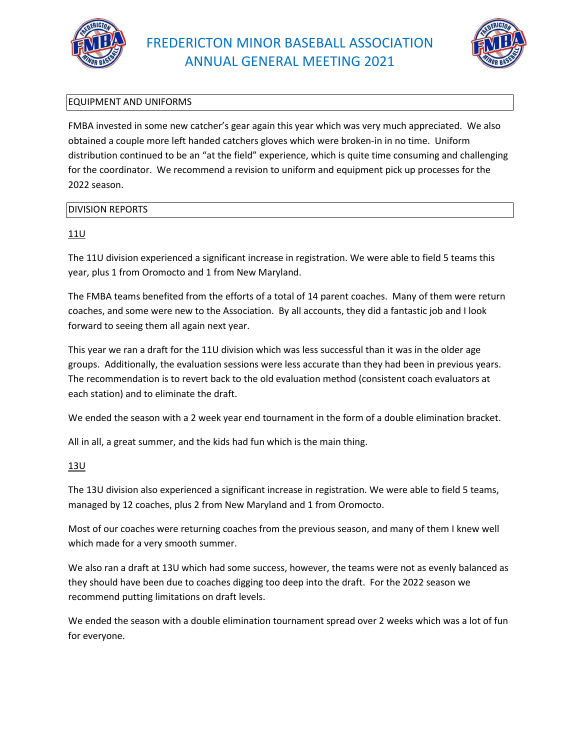



### EQUIPMENT AND UNIFORMS

FMBA invested in some new catcher's gear again this year which was very much appreciated. We also obtained a couple more left handed catchers gloves which were broken-in in no time. Uniform distribution continued to be an "at the field" experience, which is quite time consuming and challenging for the coordinator. We recommend a revision to uniform and equipment pick up processes for the 2022 season.

#### DIVISION REPORTS

### 11U

The 11U division experienced a significant increase in registration. We were able to field 5 teams this year, plus 1 from Oromocto and 1 from New Maryland.

The FMBA teams benefited from the efforts of a total of 14 parent coaches. Many of them were return coaches, and some were new to the Association. By all accounts, they did a fantastic job and I look forward to seeing them all again next year.

This year we ran a draft for the 11U division which was less successful than it was in the older age groups. Additionally, the evaluation sessions were less accurate than they had been in previous years. The recommendation is to revert back to the old evaluation method (consistent coach evaluators at each station) and to eliminate the draft.

We ended the season with a 2 week year end tournament in the form of a double elimination bracket.

All in all, a great summer, and the kids had fun which is the main thing.

### 13U

The 13U division also experienced a significant increase in registration. We were able to field 5 teams, managed by 12 coaches, plus 2 from New Maryland and 1 from Oromocto.

Most of our coaches were returning coaches from the previous season, and many of them I knew well which made for a very smooth summer.

We also ran a draft at 13U which had some success, however, the teams were not as evenly balanced as they should have been due to coaches digging too deep into the draft. For the 2022 season we recommend putting limitations on draft levels.

We ended the season with a double elimination tournament spread over 2 weeks which was a lot of fun for everyone.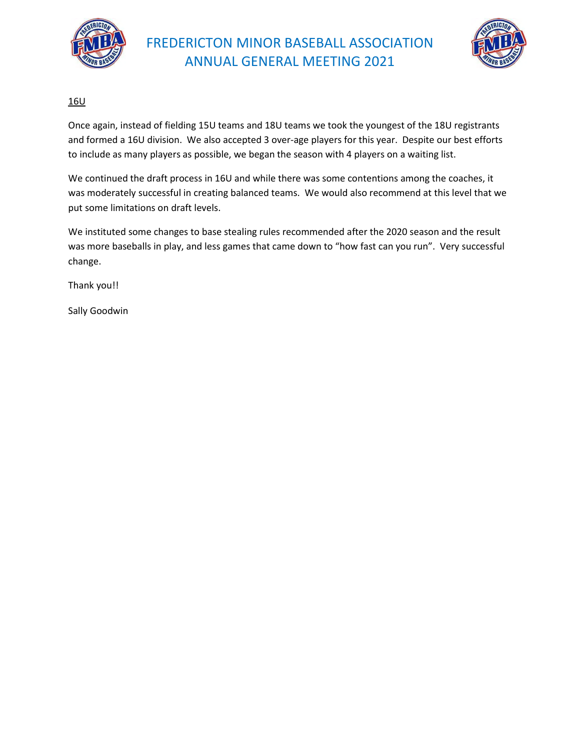



### 16U

Once again, instead of fielding 15U teams and 18U teams we took the youngest of the 18U registrants and formed a 16U division. We also accepted 3 over-age players for this year. Despite our best efforts to include as many players as possible, we began the season with 4 players on a waiting list.

We continued the draft process in 16U and while there was some contentions among the coaches, it was moderately successful in creating balanced teams. We would also recommend at this level that we put some limitations on draft levels.

We instituted some changes to base stealing rules recommended after the 2020 season and the result was more baseballs in play, and less games that came down to "how fast can you run". Very successful change.

Thank you!!

Sally Goodwin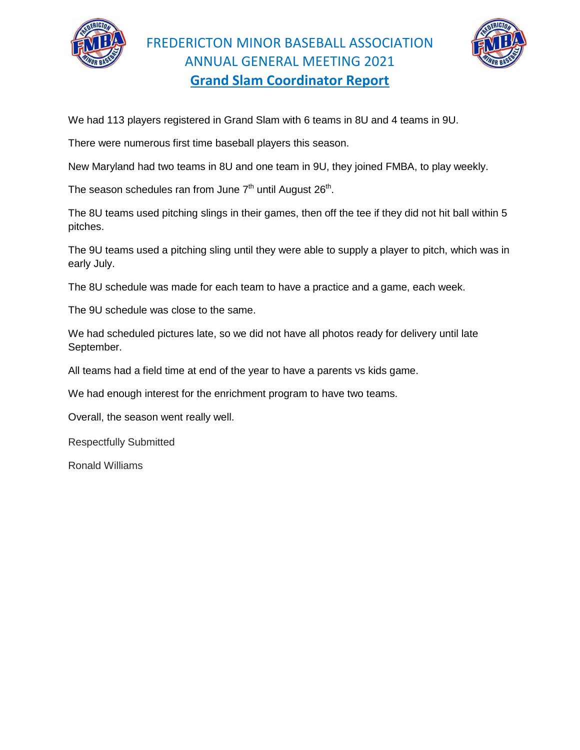



We had 113 players registered in Grand Slam with 6 teams in 8U and 4 teams in 9U.

There were numerous first time baseball players this season.

New Maryland had two teams in 8U and one team in 9U, they joined FMBA, to play weekly.

The season schedules ran from June  $7<sup>th</sup>$  until August 26<sup>th</sup>.

The 8U teams used pitching slings in their games, then off the tee if they did not hit ball within 5 pitches.

The 9U teams used a pitching sling until they were able to supply a player to pitch, which was in early July.

The 8U schedule was made for each team to have a practice and a game, each week.

The 9U schedule was close to the same.

We had scheduled pictures late, so we did not have all photos ready for delivery until late September.

All teams had a field time at end of the year to have a parents vs kids game.

We had enough interest for the enrichment program to have two teams.

Overall, the season went really well.

Respectfully Submitted

Ronald Williams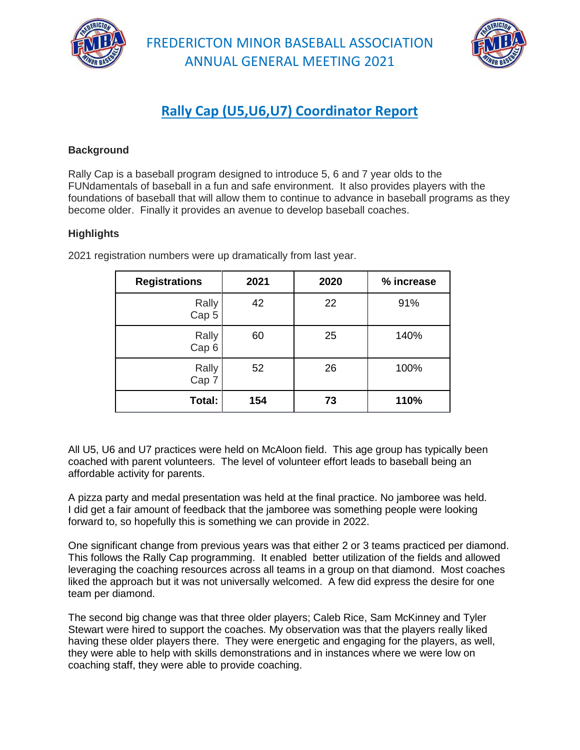



# **Rally Cap (U5,U6,U7) Coordinator Report**

### **Background**

Rally Cap is a baseball program designed to introduce 5, 6 and 7 year olds to the FUNdamentals of baseball in a fun and safe environment. It also provides players with the foundations of baseball that will allow them to continue to advance in baseball programs as they become older. Finally it provides an avenue to develop baseball coaches.

### **Highlights**

| <b>Registrations</b>      | 2021 | 2020 | % increase |
|---------------------------|------|------|------------|
| Rally<br>Cap <sub>5</sub> | 42   | 22   | 91%        |
| Rally<br>Cap <sub>6</sub> | 60   | 25   | 140%       |
| Rally<br>Cap 7            | 52   | 26   | 100%       |
| Total:                    | 154  | 73   | 110%       |

2021 registration numbers were up dramatically from last year.

All U5, U6 and U7 practices were held on McAloon field. This age group has typically been coached with parent volunteers. The level of volunteer effort leads to baseball being an affordable activity for parents.

A pizza party and medal presentation was held at the final practice. No jamboree was held. I did get a fair amount of feedback that the jamboree was something people were looking forward to, so hopefully this is something we can provide in 2022.

One significant change from previous years was that either 2 or 3 teams practiced per diamond. This follows the Rally Cap programming. It enabled better utilization of the fields and allowed leveraging the coaching resources across all teams in a group on that diamond. Most coaches liked the approach but it was not universally welcomed. A few did express the desire for one team per diamond.

The second big change was that three older players; Caleb Rice, Sam McKinney and Tyler Stewart were hired to support the coaches. My observation was that the players really liked having these older players there. They were energetic and engaging for the players, as well, they were able to help with skills demonstrations and in instances where we were low on coaching staff, they were able to provide coaching.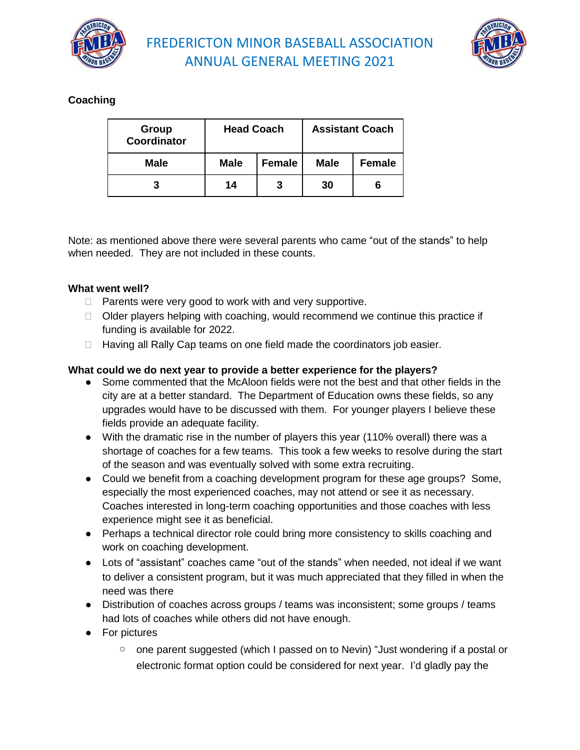



### **Coaching**

| Group<br>Coordinator | <b>Head Coach</b> |               |             | <b>Assistant Coach</b> |
|----------------------|-------------------|---------------|-------------|------------------------|
| <b>Male</b>          | <b>Male</b>       | <b>Female</b> | <b>Male</b> | Female                 |
| 3                    | 14                | 3             | 30          |                        |

Note: as mentioned above there were several parents who came "out of the stands" to help when needed. They are not included in these counts.

### **What went well?**

- $\Box$  Parents were very good to work with and very supportive.
- $\Box$  Older players helping with coaching, would recommend we continue this practice if funding is available for 2022.
- $\Box$  Having all Rally Cap teams on one field made the coordinators job easier.

#### **What could we do next year to provide a better experience for the players?**

- Some commented that the McAloon fields were not the best and that other fields in the city are at a better standard. The Department of Education owns these fields, so any upgrades would have to be discussed with them. For younger players I believe these fields provide an adequate facility.
- With the dramatic rise in the number of players this year (110% overall) there was a shortage of coaches for a few teams. This took a few weeks to resolve during the start of the season and was eventually solved with some extra recruiting.
- Could we benefit from a coaching development program for these age groups? Some, especially the most experienced coaches, may not attend or see it as necessary. Coaches interested in long-term coaching opportunities and those coaches with less experience might see it as beneficial.
- Perhaps a technical director role could bring more consistency to skills coaching and work on coaching development.
- Lots of "assistant" coaches came "out of the stands" when needed, not ideal if we want to deliver a consistent program, but it was much appreciated that they filled in when the need was there
- Distribution of coaches across groups / teams was inconsistent; some groups / teams had lots of coaches while others did not have enough.
- For pictures
	- one parent suggested (which I passed on to Nevin) "Just wondering if a postal or electronic format option could be considered for next year. I'd gladly pay the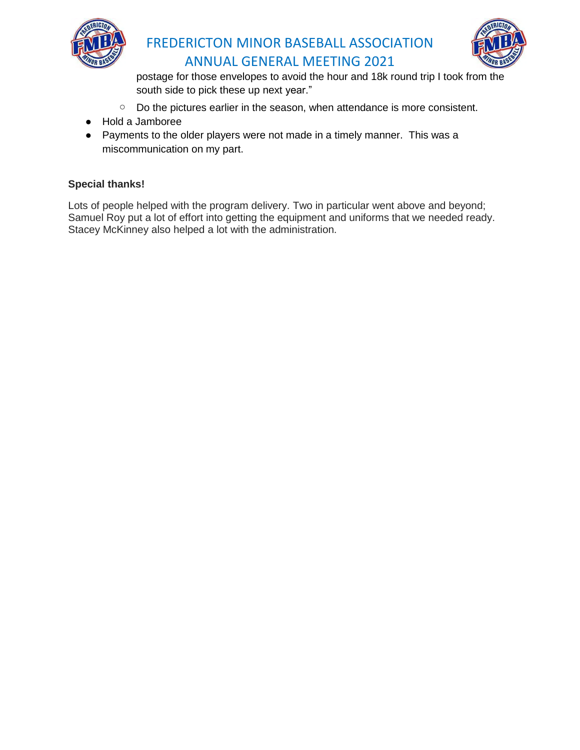



postage for those envelopes to avoid the hour and 18k round trip I took from the south side to pick these up next year."

- Do the pictures earlier in the season, when attendance is more consistent.
- Hold a Jamboree
- Payments to the older players were not made in a timely manner. This was a miscommunication on my part.

### **Special thanks!**

Lots of people helped with the program delivery. Two in particular went above and beyond; Samuel Roy put a lot of effort into getting the equipment and uniforms that we needed ready. Stacey McKinney also helped a lot with the administration.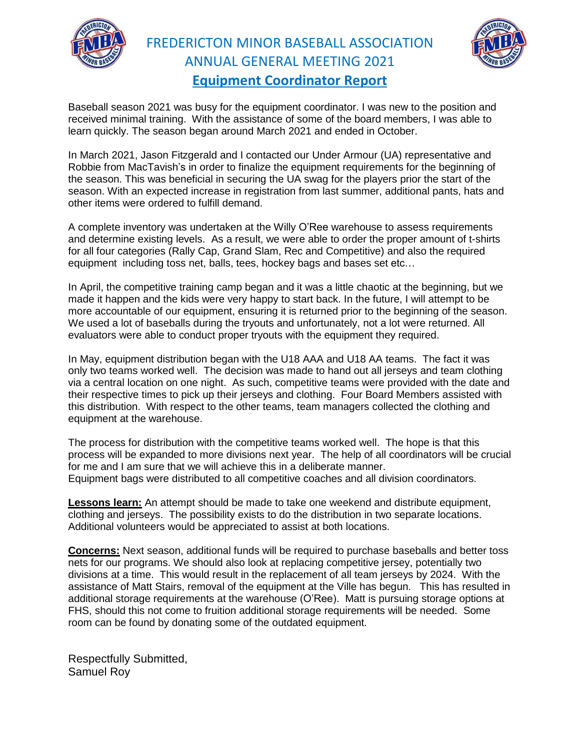

FREDERICTON MINOR BASEBALL ASSOCIATION ANNUAL GENERAL MEETING 2021 **Equipment Coordinator Report**



Baseball season 2021 was busy for the equipment coordinator. I was new to the position and received minimal training. With the assistance of some of the board members, I was able to learn quickly. The season began around March 2021 and ended in October.

In March 2021, Jason Fitzgerald and I contacted our Under Armour (UA) representative and Robbie from MacTavish's in order to finalize the equipment requirements for the beginning of the season. This was beneficial in securing the UA swag for the players prior the start of the season. With an expected increase in registration from last summer, additional pants, hats and other items were ordered to fulfill demand.

A complete inventory was undertaken at the Willy O'Ree warehouse to assess requirements and determine existing levels. As a result, we were able to order the proper amount of t-shirts for all four categories (Rally Cap, Grand Slam, Rec and Competitive) and also the required equipment including toss net, balls, tees, hockey bags and bases set etc…

In April, the competitive training camp began and it was a little chaotic at the beginning, but we made it happen and the kids were very happy to start back. In the future, I will attempt to be more accountable of our equipment, ensuring it is returned prior to the beginning of the season. We used a lot of baseballs during the tryouts and unfortunately, not a lot were returned. All evaluators were able to conduct proper tryouts with the equipment they required.

In May, equipment distribution began with the U18 AAA and U18 AA teams. The fact it was only two teams worked well. The decision was made to hand out all jerseys and team clothing via a central location on one night. As such, competitive teams were provided with the date and their respective times to pick up their jerseys and clothing. Four Board Members assisted with this distribution. With respect to the other teams, team managers collected the clothing and equipment at the warehouse.

The process for distribution with the competitive teams worked well. The hope is that this process will be expanded to more divisions next year. The help of all coordinators will be crucial for me and I am sure that we will achieve this in a deliberate manner. Equipment bags were distributed to all competitive coaches and all division coordinators.

**Lessons learn:** An attempt should be made to take one weekend and distribute equipment, clothing and jerseys. The possibility exists to do the distribution in two separate locations. Additional volunteers would be appreciated to assist at both locations.

**Concerns:** Next season, additional funds will be required to purchase baseballs and better toss nets for our programs. We should also look at replacing competitive jersey, potentially two divisions at a time. This would result in the replacement of all team jerseys by 2024. With the assistance of Matt Stairs, removal of the equipment at the Ville has begun. This has resulted in additional storage requirements at the warehouse (O'Ree). Matt is pursuing storage options at FHS, should this not come to fruition additional storage requirements will be needed. Some room can be found by donating some of the outdated equipment.

Respectfully Submitted, Samuel Roy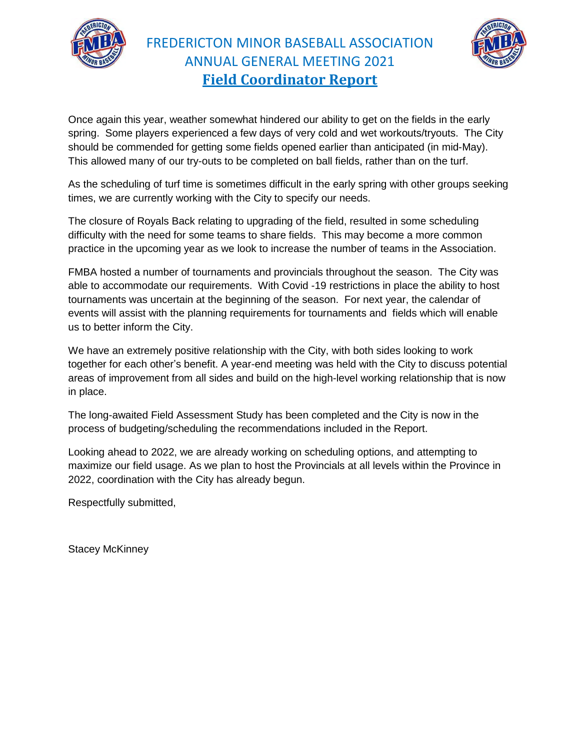

FREDERICTON MINOR BASEBALL ASSOCIATION ANNUAL GENERAL MEETING 2021 **Field Coordinator Report**



Once again this year, weather somewhat hindered our ability to get on the fields in the early spring. Some players experienced a few days of very cold and wet workouts/tryouts. The City should be commended for getting some fields opened earlier than anticipated (in mid-May). This allowed many of our try-outs to be completed on ball fields, rather than on the turf.

As the scheduling of turf time is sometimes difficult in the early spring with other groups seeking times, we are currently working with the City to specify our needs.

The closure of Royals Back relating to upgrading of the field, resulted in some scheduling difficulty with the need for some teams to share fields. This may become a more common practice in the upcoming year as we look to increase the number of teams in the Association.

FMBA hosted a number of tournaments and provincials throughout the season. The City was able to accommodate our requirements. With Covid -19 restrictions in place the ability to host tournaments was uncertain at the beginning of the season. For next year, the calendar of events will assist with the planning requirements for tournaments and fields which will enable us to better inform the City.

We have an extremely positive relationship with the City, with both sides looking to work together for each other's benefit. A year-end meeting was held with the City to discuss potential areas of improvement from all sides and build on the high-level working relationship that is now in place.

The long-awaited Field Assessment Study has been completed and the City is now in the process of budgeting/scheduling the recommendations included in the Report.

Looking ahead to 2022, we are already working on scheduling options, and attempting to maximize our field usage. As we plan to host the Provincials at all levels within the Province in 2022, coordination with the City has already begun.

Respectfully submitted,

Stacey McKinney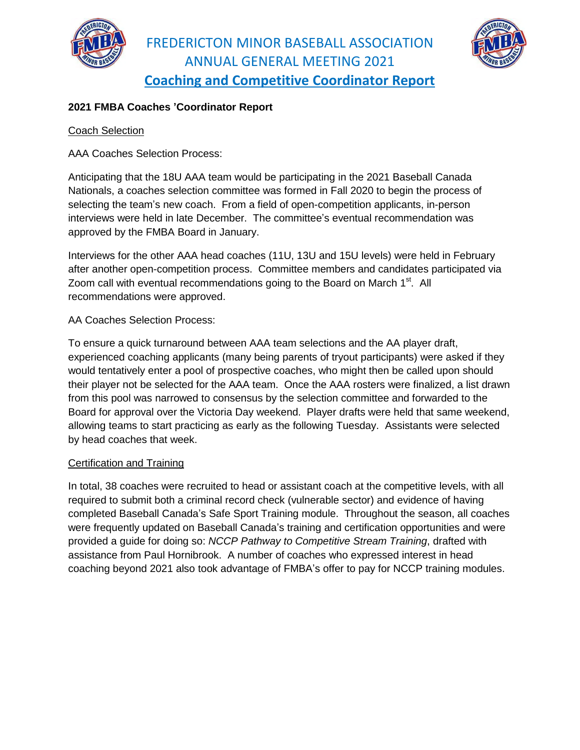



### **2021 FMBA Coaches 'Coordinator Report**

### Coach Selection

AAA Coaches Selection Process:

Anticipating that the 18U AAA team would be participating in the 2021 Baseball Canada Nationals, a coaches selection committee was formed in Fall 2020 to begin the process of selecting the team's new coach. From a field of open-competition applicants, in-person interviews were held in late December. The committee's eventual recommendation was approved by the FMBA Board in January.

Interviews for the other AAA head coaches (11U, 13U and 15U levels) were held in February after another open-competition process. Committee members and candidates participated via Zoom call with eventual recommendations going to the Board on March 1<sup>st</sup>. All recommendations were approved.

### AA Coaches Selection Process:

To ensure a quick turnaround between AAA team selections and the AA player draft, experienced coaching applicants (many being parents of tryout participants) were asked if they would tentatively enter a pool of prospective coaches, who might then be called upon should their player not be selected for the AAA team. Once the AAA rosters were finalized, a list drawn from this pool was narrowed to consensus by the selection committee and forwarded to the Board for approval over the Victoria Day weekend. Player drafts were held that same weekend, allowing teams to start practicing as early as the following Tuesday. Assistants were selected by head coaches that week.

### Certification and Training

In total, 38 coaches were recruited to head or assistant coach at the competitive levels, with all required to submit both a criminal record check (vulnerable sector) and evidence of having completed Baseball Canada's Safe Sport Training module. Throughout the season, all coaches were frequently updated on Baseball Canada's training and certification opportunities and were provided a guide for doing so: *NCCP Pathway to Competitive Stream Training*, drafted with assistance from Paul Hornibrook. A number of coaches who expressed interest in head coaching beyond 2021 also took advantage of FMBA's offer to pay for NCCP training modules.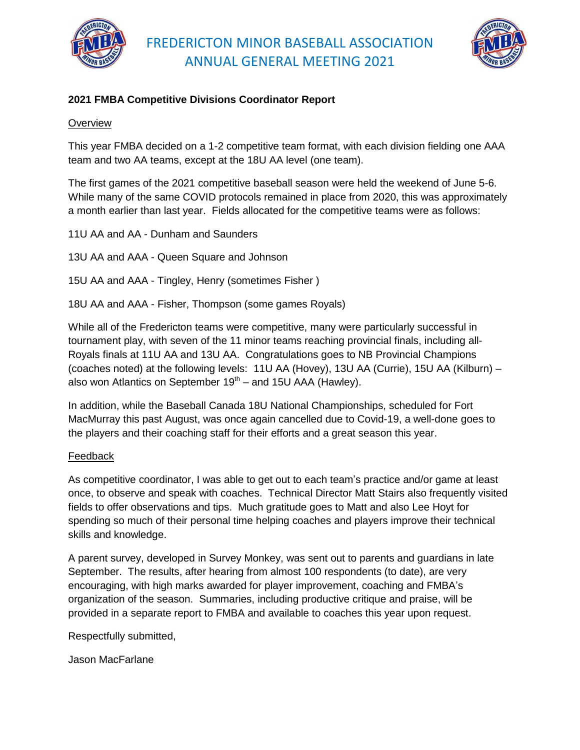



### **2021 FMBA Competitive Divisions Coordinator Report**

### **Overview**

This year FMBA decided on a 1-2 competitive team format, with each division fielding one AAA team and two AA teams, except at the 18U AA level (one team).

The first games of the 2021 competitive baseball season were held the weekend of June 5-6. While many of the same COVID protocols remained in place from 2020, this was approximately a month earlier than last year. Fields allocated for the competitive teams were as follows:

- 11U AA and AA Dunham and Saunders
- 13U AA and AAA Queen Square and Johnson
- 15U AA and AAA Tingley, Henry (sometimes Fisher )
- 18U AA and AAA Fisher, Thompson (some games Royals)

While all of the Fredericton teams were competitive, many were particularly successful in tournament play, with seven of the 11 minor teams reaching provincial finals, including all-Royals finals at 11U AA and 13U AA. Congratulations goes to NB Provincial Champions (coaches noted) at the following levels: 11U AA (Hovey), 13U AA (Currie), 15U AA (Kilburn) – also won Atlantics on September 19<sup>th</sup> – and 15U AAA (Hawley).

In addition, while the Baseball Canada 18U National Championships, scheduled for Fort MacMurray this past August, was once again cancelled due to Covid-19, a well-done goes to the players and their coaching staff for their efforts and a great season this year.

### Feedback

As competitive coordinator, I was able to get out to each team's practice and/or game at least once, to observe and speak with coaches. Technical Director Matt Stairs also frequently visited fields to offer observations and tips. Much gratitude goes to Matt and also Lee Hoyt for spending so much of their personal time helping coaches and players improve their technical skills and knowledge.

A parent survey, developed in Survey Monkey, was sent out to parents and guardians in late September. The results, after hearing from almost 100 respondents (to date), are very encouraging, with high marks awarded for player improvement, coaching and FMBA's organization of the season. Summaries, including productive critique and praise, will be provided in a separate report to FMBA and available to coaches this year upon request.

Respectfully submitted,

Jason MacFarlane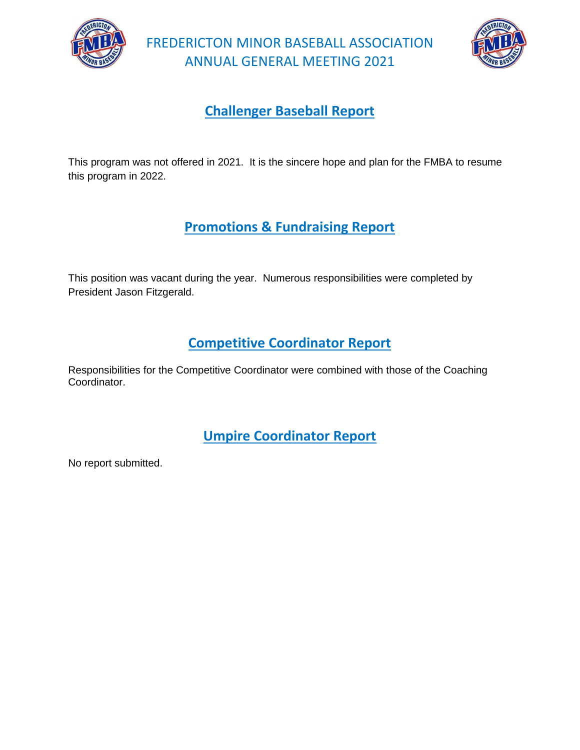



### **Challenger Baseball Report**

This program was not offered in 2021. It is the sincere hope and plan for the FMBA to resume this program in 2022.

# **Promotions & Fundraising Report**

This position was vacant during the year. Numerous responsibilities were completed by President Jason Fitzgerald.

### **Competitive Coordinator Report**

Responsibilities for the Competitive Coordinator were combined with those of the Coaching Coordinator.

**Umpire Coordinator Report**

No report submitted.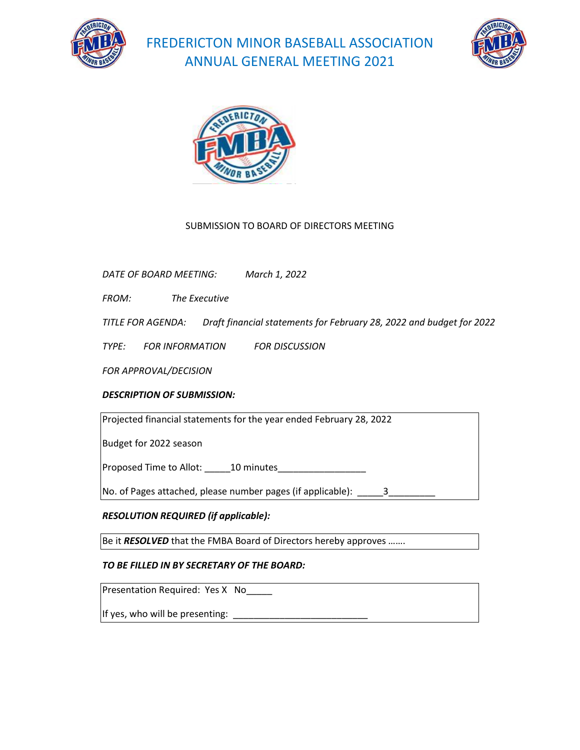





### SUBMISSION TO BOARD OF DIRECTORS MEETING

*DATE OF BOARD MEETING: March 1, 2022*

*FROM: The Executive* 

*TITLE FOR AGENDA: Draft financial statements for February 28, 2022 and budget for 2022* 

*TYPE: FOR INFORMATION FOR DISCUSSION* 

*FOR APPROVAL/DECISION*

### *DESCRIPTION OF SUBMISSION:*

Projected financial statements for the year ended February 28, 2022

Budget for 2022 season

Proposed Time to Allot: \_\_\_\_\_10 minutes\_\_\_\_\_\_\_\_\_\_\_\_\_\_\_\_\_

No. of Pages attached, please number pages (if applicable):  $\frac{3}{2}$ 

### *RESOLUTION REQUIRED (if applicable):*

Be it *RESOLVED* that the FMBA Board of Directors hereby approves …….

### *TO BE FILLED IN BY SECRETARY OF THE BOARD:*

Presentation Required: Yes X No\_\_\_\_\_

If yes, who will be presenting: \_\_\_\_\_\_\_\_\_\_\_\_\_\_\_\_\_\_\_\_\_\_\_\_\_\_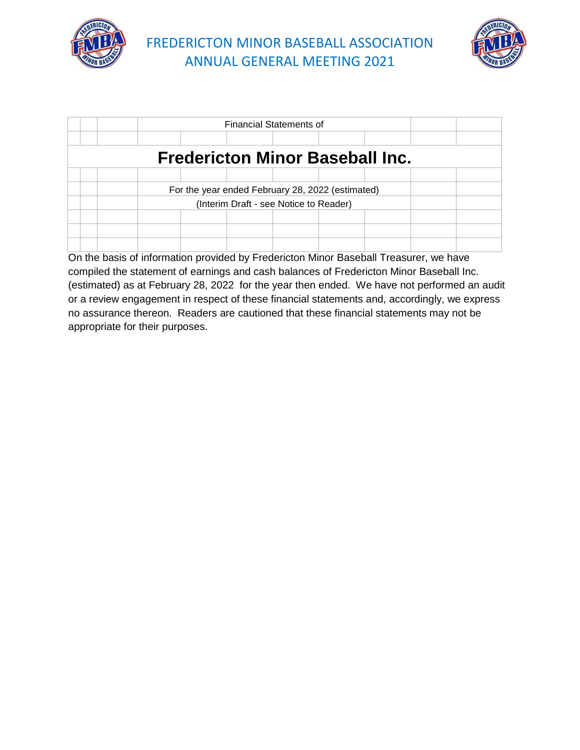



|                                                  |  |  |  |  | <b>Financial Statements of</b> |  |  |  |  |
|--------------------------------------------------|--|--|--|--|--------------------------------|--|--|--|--|
|                                                  |  |  |  |  |                                |  |  |  |  |
| <b>Fredericton Minor Baseball Inc.</b>           |  |  |  |  |                                |  |  |  |  |
|                                                  |  |  |  |  |                                |  |  |  |  |
| For the year ended February 28, 2022 (estimated) |  |  |  |  |                                |  |  |  |  |
| (Interim Draft - see Notice to Reader)           |  |  |  |  |                                |  |  |  |  |
|                                                  |  |  |  |  |                                |  |  |  |  |
|                                                  |  |  |  |  |                                |  |  |  |  |
|                                                  |  |  |  |  |                                |  |  |  |  |

On the basis of information provided by Fredericton Minor Baseball Treasurer, we have compiled the statement of earnings and cash balances of Fredericton Minor Baseball Inc. (estimated) as at February 28, 2022 for the year then ended. We have not performed an audit or a review engagement in respect of these financial statements and, accordingly, we express no assurance thereon. Readers are cautioned that these financial statements may not be appropriate for their purposes.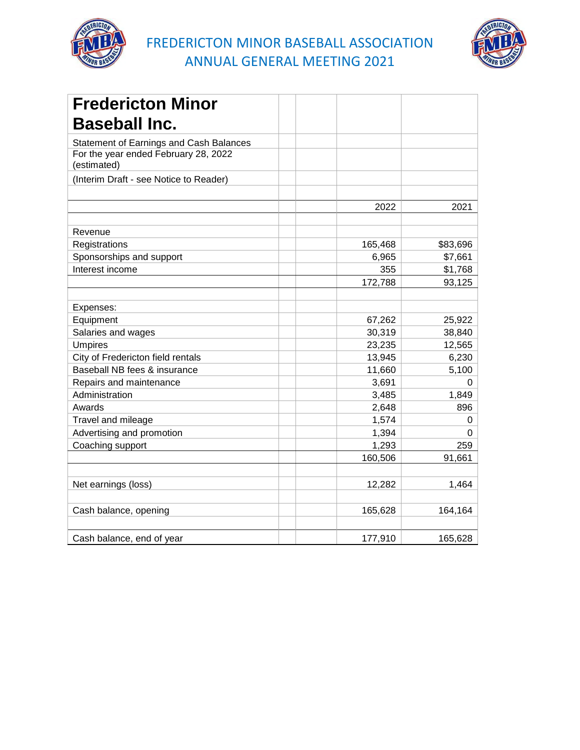



| <b>Fredericton Minor</b>                            |         |          |
|-----------------------------------------------------|---------|----------|
| <b>Baseball Inc.</b>                                |         |          |
| Statement of Earnings and Cash Balances             |         |          |
| For the year ended February 28, 2022<br>(estimated) |         |          |
| (Interim Draft - see Notice to Reader)              |         |          |
|                                                     |         |          |
|                                                     | 2022    | 2021     |
| Revenue                                             |         |          |
| Registrations                                       | 165,468 | \$83,696 |
| Sponsorships and support                            | 6,965   | \$7,661  |
| Interest income                                     | 355     | \$1,768  |
|                                                     | 172,788 | 93,125   |
|                                                     |         |          |
| Expenses:                                           |         |          |
| Equipment                                           | 67,262  | 25,922   |
| Salaries and wages                                  | 30,319  | 38,840   |
| <b>Umpires</b>                                      | 23,235  | 12,565   |
| City of Fredericton field rentals                   | 13,945  | 6,230    |
| Baseball NB fees & insurance                        | 11,660  | 5,100    |
| Repairs and maintenance                             | 3,691   | 0        |
| Administration                                      | 3,485   | 1,849    |
| Awards                                              | 2,648   | 896      |
| Travel and mileage                                  | 1,574   | 0        |
| Advertising and promotion                           | 1,394   | 0        |
| Coaching support                                    | 1,293   | 259      |
|                                                     | 160,506 | 91,661   |
|                                                     |         |          |
| Net earnings (loss)                                 | 12,282  | 1,464    |
|                                                     |         |          |
| Cash balance, opening                               | 165,628 | 164,164  |
|                                                     |         |          |
| Cash balance, end of year                           | 177,910 | 165,628  |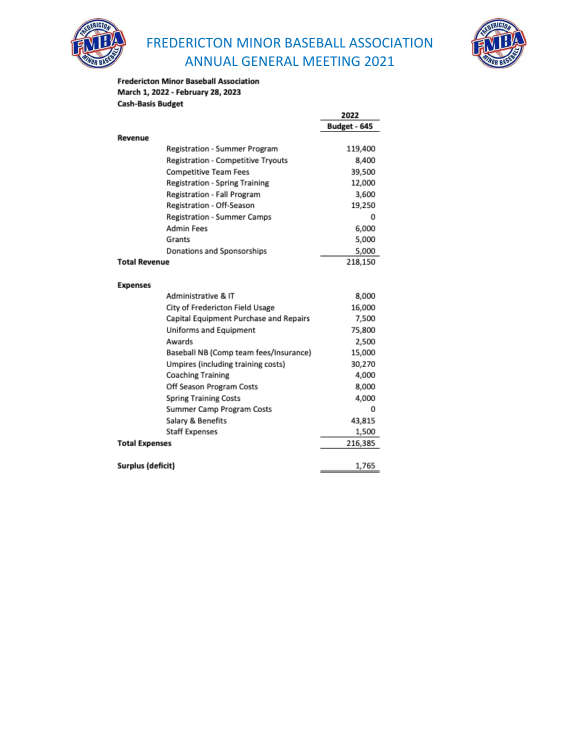



#### **Fredericton Minor Baseball Association** March 1, 2022 - February 28, 2023 **Cash-Basis Budget**

|                       |                                        | 2022         |
|-----------------------|----------------------------------------|--------------|
|                       |                                        | Budget - 645 |
| Revenue               |                                        |              |
|                       | Registration - Summer Program          | 119,400      |
|                       | Registration - Competitive Tryouts     | 8,400        |
|                       | <b>Competitive Team Fees</b>           | 39,500       |
|                       | Registration - Spring Training         | 12,000       |
|                       | Registration - Fall Program            | 3,600        |
|                       | Registration - Off-Season              | 19,250       |
|                       | <b>Registration - Summer Camps</b>     | 0            |
|                       | <b>Admin Fees</b>                      | 6,000        |
|                       | Grants                                 | 5,000        |
|                       | Donations and Sponsorships             | 5,000        |
| <b>Total Revenue</b>  |                                        | 218,150      |
|                       |                                        |              |
| <b>Expenses</b>       |                                        |              |
|                       | Administrative & IT                    | 8,000        |
|                       | City of Fredericton Field Usage        | 16,000       |
|                       | Capital Equipment Purchase and Repairs | 7,500        |
|                       | Uniforms and Equipment                 | 75,800       |
|                       | Awards                                 | 2,500        |
|                       | Baseball NB (Comp team fees/Insurance) | 15,000       |
|                       | Umpires (including training costs)     | 30,270       |
|                       | <b>Coaching Training</b>               | 4,000        |
|                       | Off Season Program Costs               | 8,000        |
|                       | <b>Spring Training Costs</b>           | 4.000        |
|                       | Summer Camp Program Costs              | 0            |
|                       | Salary & Benefits                      | 43,815       |
|                       | <b>Staff Expenses</b>                  | 1,500        |
| <b>Total Expenses</b> |                                        | 216,385      |
|                       |                                        |              |
| Surplus (deficit)     |                                        | 1,765        |
|                       |                                        |              |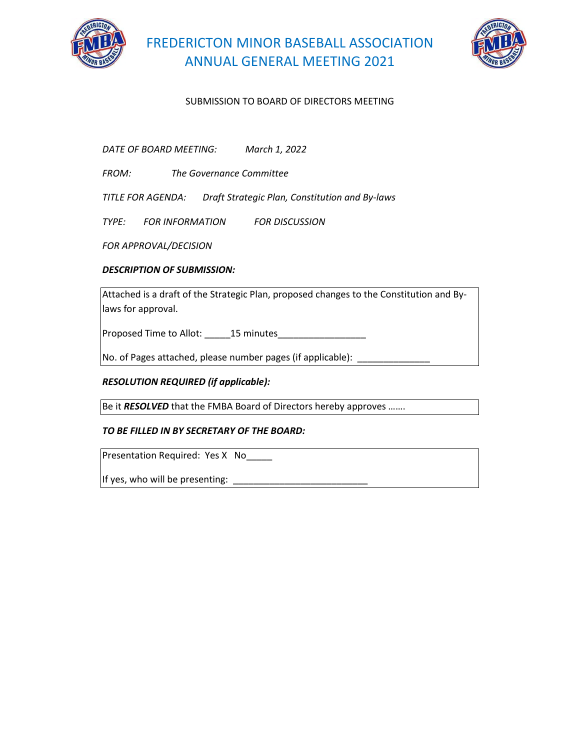



### SUBMISSION TO BOARD OF DIRECTORS MEETING

*DATE OF BOARD MEETING: March 1, 2022*

*FROM: The Governance Committee* 

*TITLE FOR AGENDA: Draft Strategic Plan, Constitution and By-laws* 

*TYPE: FOR INFORMATION FOR DISCUSSION* 

*FOR APPROVAL/DECISION*

#### *DESCRIPTION OF SUBMISSION:*

Attached is a draft of the Strategic Plan, proposed changes to the Constitution and Bylaws for approval.

Proposed Time to Allot: 15 minutes

No. of Pages attached, please number pages (if applicable):  $\qquad_{\ldots}$ 

#### *RESOLUTION REQUIRED (if applicable):*

Be it *RESOLVED* that the FMBA Board of Directors hereby approves …….

#### *TO BE FILLED IN BY SECRETARY OF THE BOARD:*

Presentation Required: Yes X No

If yes, who will be presenting: \_\_\_\_\_\_\_\_\_\_\_\_\_\_\_\_\_\_\_\_\_\_\_\_\_\_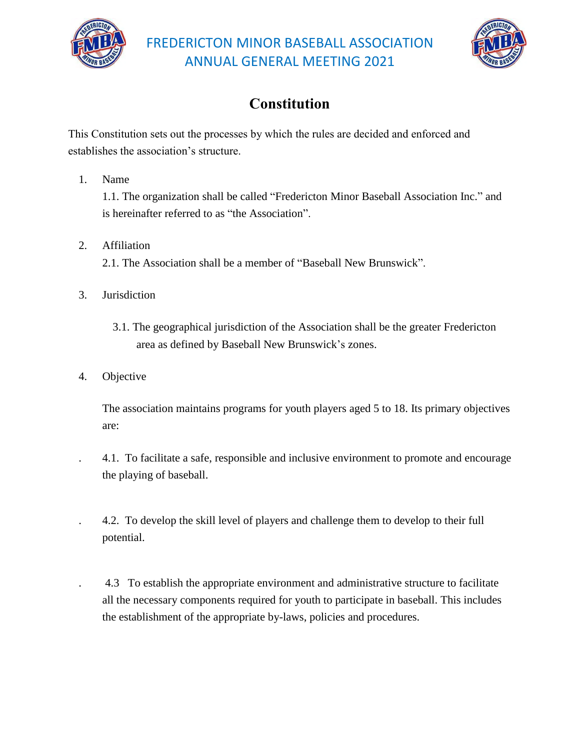



# **Constitution**

This Constitution sets out the processes by which the rules are decided and enforced and establishes the association's structure.

1. Name

1.1. The organization shall be called "Fredericton Minor Baseball Association Inc." and is hereinafter referred to as "the Association".

- 2. Affiliation 2.1. The Association shall be a member of "Baseball New Brunswick".
- 3. Jurisdiction
	- 3.1. The geographical jurisdiction of the Association shall be the greater Fredericton area as defined by Baseball New Brunswick's zones.
- 4. Objective

 The association maintains programs for youth players aged 5 to 18. Its primary objectives are:

 . 4.1. To facilitate a safe, responsible and inclusive environment to promote and encourage the playing of baseball.

 . 4.2. To develop the skill level of players and challenge them to develop to their full potential.

 . 4.3 To establish the appropriate environment and administrative structure to facilitate all the necessary components required for youth to participate in baseball. This includes the establishment of the appropriate by-laws, policies and procedures.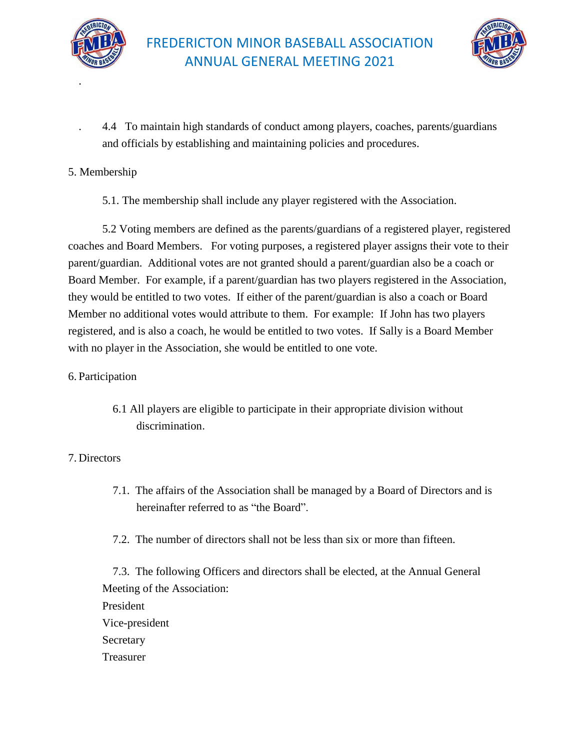

.



 . 4.4 To maintain high standards of conduct among players, coaches, parents/guardians and officials by establishing and maintaining policies and procedures.

### 5. Membership

5.1. The membership shall include any player registered with the Association.

5.2 Voting members are defined as the parents/guardians of a registered player, registered coaches and Board Members. For voting purposes, a registered player assigns their vote to their parent/guardian. Additional votes are not granted should a parent/guardian also be a coach or Board Member. For example, if a parent/guardian has two players registered in the Association, they would be entitled to two votes. If either of the parent/guardian is also a coach or Board Member no additional votes would attribute to them. For example: If John has two players registered, and is also a coach, he would be entitled to two votes. If Sally is a Board Member with no player in the Association, she would be entitled to one vote.

### 6. Participation

 6.1 All players are eligible to participate in their appropriate division without discrimination.

### 7. Directors

- 7.1. The affairs of the Association shall be managed by a Board of Directors and is hereinafter referred to as "the Board".
- 7.2. The number of directors shall not be less than six or more than fifteen.

 7.3. The following Officers and directors shall be elected, at the Annual General Meeting of the Association: President Vice-president Secretary Treasurer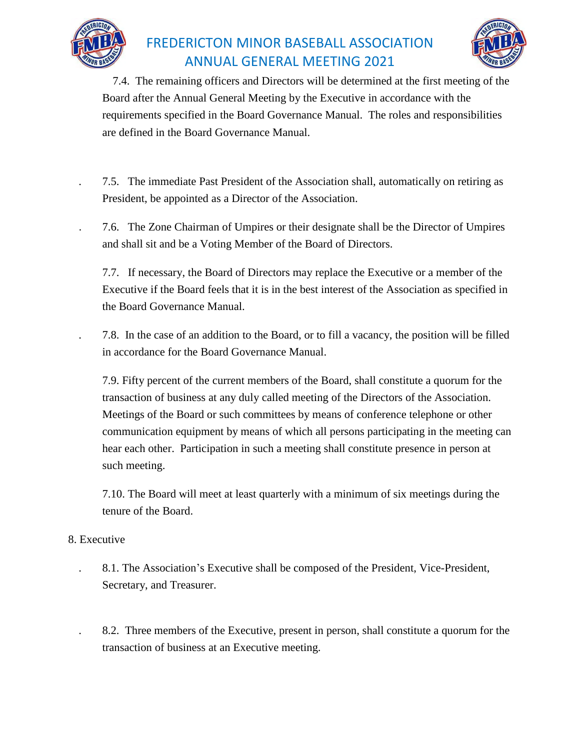



 7.4. The remaining officers and Directors will be determined at the first meeting of the Board after the Annual General Meeting by the Executive in accordance with the requirements specified in the Board Governance Manual. The roles and responsibilities are defined in the Board Governance Manual.

- . 7.5. The immediate Past President of the Association shall, automatically on retiring as President, be appointed as a Director of the Association.
- . 7.6. The Zone Chairman of Umpires or their designate shall be the Director of Umpires and shall sit and be a Voting Member of the Board of Directors.

 7.7. If necessary, the Board of Directors may replace the Executive or a member of the Executive if the Board feels that it is in the best interest of the Association as specified in the Board Governance Manual.

. 7.8. In the case of an addition to the Board, or to fill a vacancy, the position will be filled in accordance for the Board Governance Manual.

 7.9. Fifty percent of the current members of the Board, shall constitute a quorum for the transaction of business at any duly called meeting of the Directors of the Association. Meetings of the Board or such committees by means of conference telephone or other communication equipment by means of which all persons participating in the meeting can hear each other. Participation in such a meeting shall constitute presence in person at such meeting.

7.10. The Board will meet at least quarterly with a minimum of six meetings during the tenure of the Board.

### 8. Executive

 . 8.1. The Association's Executive shall be composed of the President, Vice-President, Secretary, and Treasurer.

 . 8.2. Three members of the Executive, present in person, shall constitute a quorum for the transaction of business at an Executive meeting.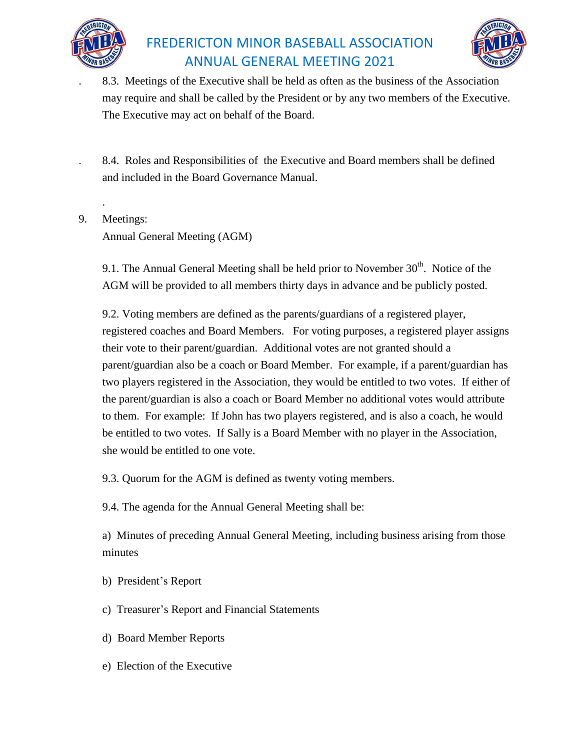



 . 8.3. Meetings of the Executive shall be held as often as the business of the Association may require and shall be called by the President or by any two members of the Executive. The Executive may act on behalf of the Board.

 . 8.4. Roles and Responsibilities of the Executive and Board members shall be defined and included in the Board Governance Manual.

9. Meetings:

.

Annual General Meeting (AGM)

9.1. The Annual General Meeting shall be held prior to November  $30<sup>th</sup>$ . Notice of the AGM will be provided to all members thirty days in advance and be publicly posted.

9.2. Voting members are defined as the parents/guardians of a registered player, registered coaches and Board Members. For voting purposes, a registered player assigns their vote to their parent/guardian. Additional votes are not granted should a parent/guardian also be a coach or Board Member. For example, if a parent/guardian has two players registered in the Association, they would be entitled to two votes. If either of the parent/guardian is also a coach or Board Member no additional votes would attribute to them. For example: If John has two players registered, and is also a coach, he would be entitled to two votes. If Sally is a Board Member with no player in the Association, she would be entitled to one vote.

9.3. Quorum for the AGM is defined as twenty voting members.

9.4. The agenda for the Annual General Meeting shall be:

 a) Minutes of preceding Annual General Meeting, including business arising from those minutes

- b) President's Report
- c) Treasurer's Report and Financial Statements
- d) Board Member Reports
- e) Election of the Executive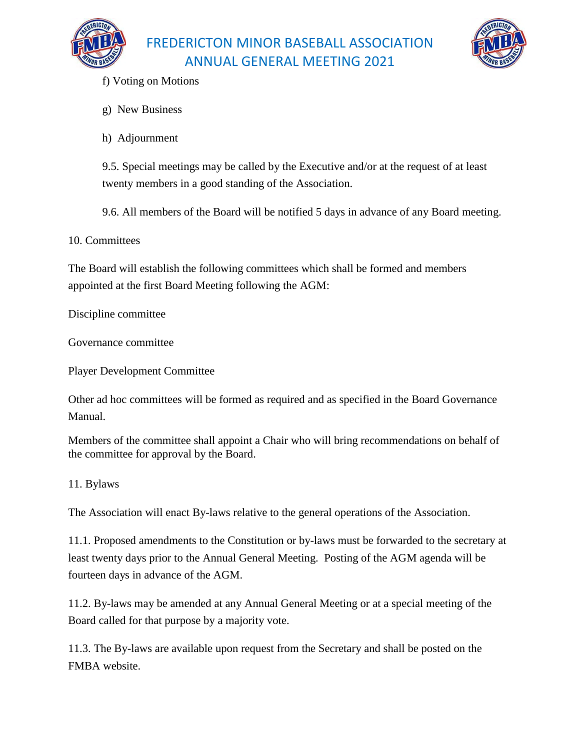



- f) Voting on Motions
- g) New Business
- h) Adjournment

9.5. Special meetings may be called by the Executive and/or at the request of at least twenty members in a good standing of the Association.

9.6. All members of the Board will be notified 5 days in advance of any Board meeting.

10. Committees

The Board will establish the following committees which shall be formed and members appointed at the first Board Meeting following the AGM:

Discipline committee

Governance committee

Player Development Committee

Other ad hoc committees will be formed as required and as specified in the Board Governance Manual.

Members of the committee shall appoint a Chair who will bring recommendations on behalf of the committee for approval by the Board.

### 11. Bylaws

The Association will enact By-laws relative to the general operations of the Association.

11.1. Proposed amendments to the Constitution or by-laws must be forwarded to the secretary at least twenty days prior to the Annual General Meeting. Posting of the AGM agenda will be fourteen days in advance of the AGM.

11.2. By-laws may be amended at any Annual General Meeting or at a special meeting of the Board called for that purpose by a majority vote.

11.3. The By-laws are available upon request from the Secretary and shall be posted on the FMBA website.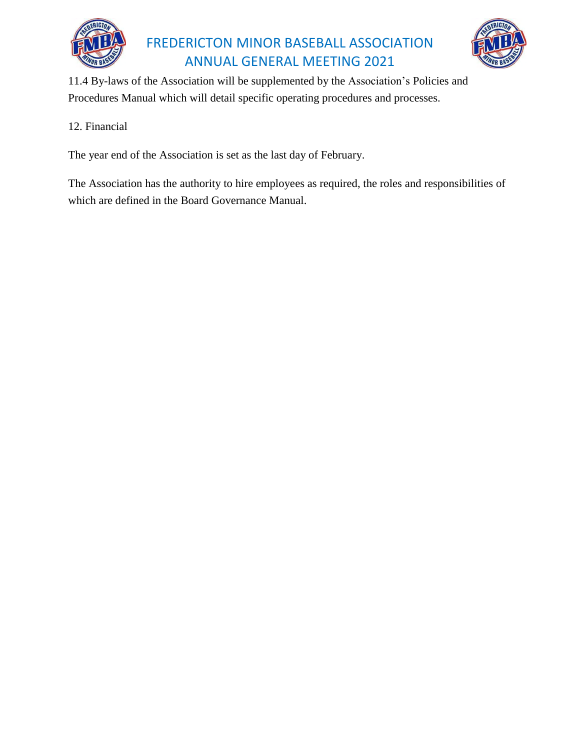



11.4 By-laws of the Association will be supplemented by the Association's Policies and Procedures Manual which will detail specific operating procedures and processes.

### 12. Financial

The year end of the Association is set as the last day of February.

The Association has the authority to hire employees as required, the roles and responsibilities of which are defined in the Board Governance Manual.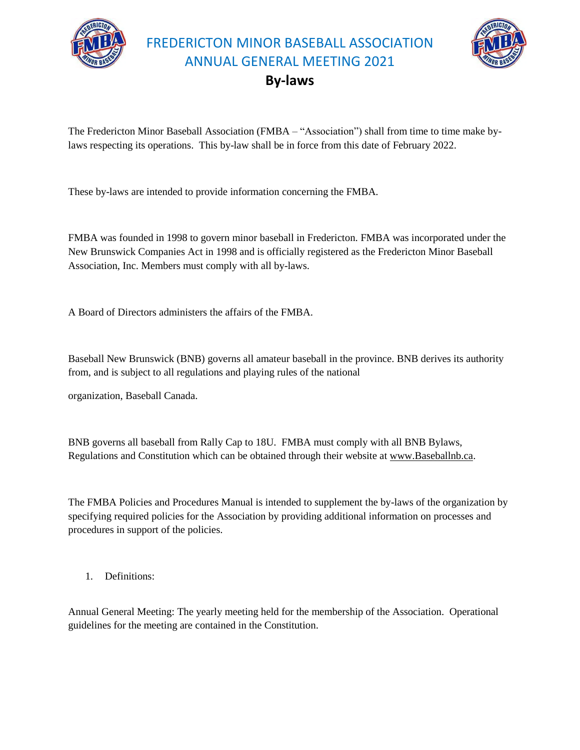



### **By-laws**

The Fredericton Minor Baseball Association (FMBA – "Association") shall from time to time make bylaws respecting its operations. This by-law shall be in force from this date of February 2022.

These by-laws are intended to provide information concerning the FMBA.

FMBA was founded in 1998 to govern minor baseball in Fredericton. FMBA was incorporated under the New Brunswick Companies Act in 1998 and is officially registered as the Fredericton Minor Baseball Association, Inc. Members must comply with all by-laws.

A Board of Directors administers the affairs of the FMBA.

Baseball New Brunswick (BNB) governs all amateur baseball in the province. BNB derives its authority from, and is subject to all regulations and playing rules of the national

organization, Baseball Canada.

BNB governs all baseball from Rally Cap to 18U. FMBA must comply with all BNB Bylaws, Regulations and Constitution which can be obtained through their website at [www.Baseballnb.ca.](http://www.baseballnb.ca/)

The FMBA Policies and Procedures Manual is intended to supplement the by-laws of the organization by specifying required policies for the Association by providing additional information on processes and procedures in support of the policies.

1. Definitions:

Annual General Meeting: The yearly meeting held for the membership of the Association. Operational guidelines for the meeting are contained in the Constitution.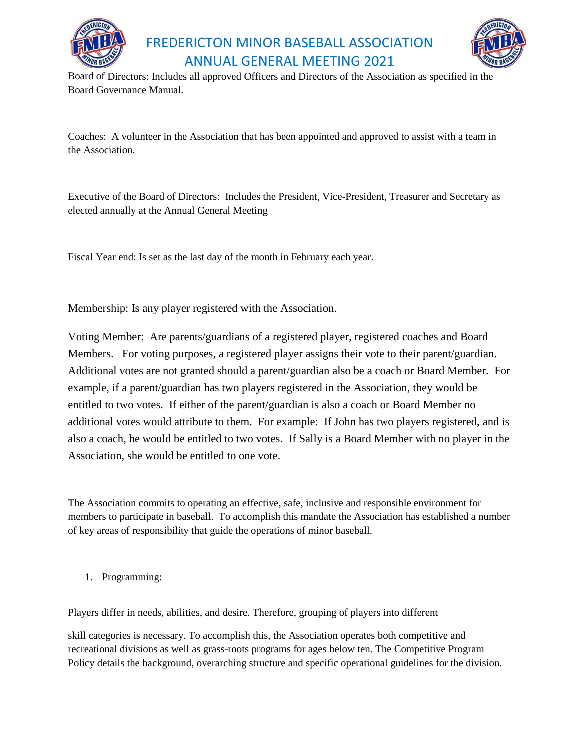



Board of Directors: Includes all approved Officers and Directors of the Association as specified in the Board Governance Manual.

Coaches: A volunteer in the Association that has been appointed and approved to assist with a team in the Association.

Executive of the Board of Directors: Includes the President, Vice-President, Treasurer and Secretary as elected annually at the Annual General Meeting

Fiscal Year end: Is set as the last day of the month in February each year.

Membership: Is any player registered with the Association.

Voting Member: Are parents/guardians of a registered player, registered coaches and Board Members. For voting purposes, a registered player assigns their vote to their parent/guardian. Additional votes are not granted should a parent/guardian also be a coach or Board Member. For example, if a parent/guardian has two players registered in the Association, they would be entitled to two votes. If either of the parent/guardian is also a coach or Board Member no additional votes would attribute to them. For example: If John has two players registered, and is also a coach, he would be entitled to two votes. If Sally is a Board Member with no player in the Association, she would be entitled to one vote.

The Association commits to operating an effective, safe, inclusive and responsible environment for members to participate in baseball. To accomplish this mandate the Association has established a number of key areas of responsibility that guide the operations of minor baseball.

1. Programming:

Players differ in needs, abilities, and desire. Therefore, grouping of players into different

skill categories is necessary. To accomplish this, the Association operates both competitive and recreational divisions as well as grass-roots programs for ages below ten. The Competitive Program Policy details the background, overarching structure and specific operational guidelines for the division.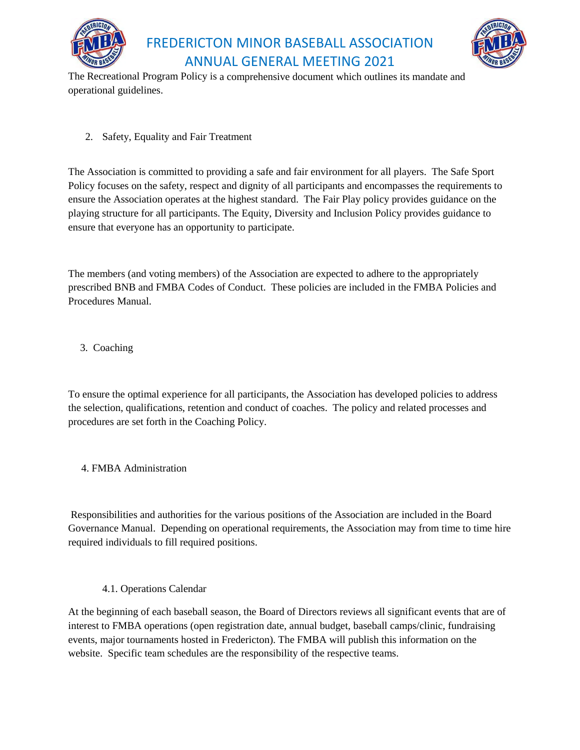



The Recreational Program Policy is a comprehensive document which outlines its mandate and operational guidelines.

2. Safety, Equality and Fair Treatment

The Association is committed to providing a safe and fair environment for all players. The Safe Sport Policy focuses on the safety, respect and dignity of all participants and encompasses the requirements to ensure the Association operates at the highest standard. The Fair Play policy provides guidance on the playing structure for all participants. The Equity, Diversity and Inclusion Policy provides guidance to ensure that everyone has an opportunity to participate.

The members (and voting members) of the Association are expected to adhere to the appropriately prescribed BNB and FMBA Codes of Conduct. These policies are included in the FMBA Policies and Procedures Manual.

3. Coaching

To ensure the optimal experience for all participants, the Association has developed policies to address the selection, qualifications, retention and conduct of coaches. The policy and related processes and procedures are set forth in the Coaching Policy.

4. FMBA Administration

Responsibilities and authorities for the various positions of the Association are included in the Board Governance Manual. Depending on operational requirements, the Association may from time to time hire required individuals to fill required positions.

4.1. Operations Calendar

At the beginning of each baseball season, the Board of Directors reviews all significant events that are of interest to FMBA operations (open registration date, annual budget, baseball camps/clinic, fundraising events, major tournaments hosted in Fredericton). The FMBA will publish this information on the website. Specific team schedules are the responsibility of the respective teams.